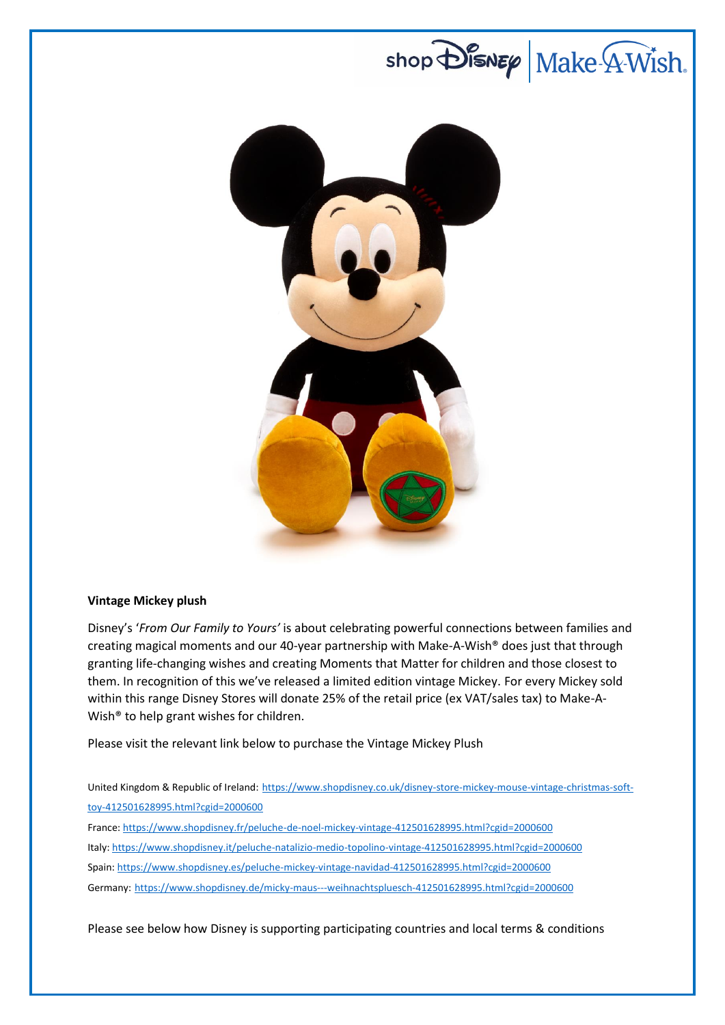

# **Vintage Mickey plush**

Disney's '*From Our Family to Yours'* is about celebrating powerful connections between families and creating magical moments and our 40-year partnership with Make-A-Wish® does just that through granting life-changing wishes and creating Moments that Matter for children and those closest to them. In recognition of this we've released a limited edition vintage Mickey. For every Mickey sold within this range Disney Stores will donate 25% of the retail price (ex VAT/sales tax) to Make-A-Wish® to help grant wishes for children.

Please visit the relevant link below to purchase the Vintage Mickey Plush

United Kingdom & Republic of Ireland: [https://www.shopdisney.co.uk/disney-store-mickey-mouse-vintage-christmas-soft](https://www.shopdisney.co.uk/disney-store-mickey-mouse-vintage-christmas-soft-toy-412501628995.html?cgid=2000600)[toy-412501628995.html?cgid=2000600](https://www.shopdisney.co.uk/disney-store-mickey-mouse-vintage-christmas-soft-toy-412501628995.html?cgid=2000600)

France: <https://www.shopdisney.fr/peluche-de-noel-mickey-vintage-412501628995.html?cgid=2000600> Italy[: https://www.shopdisney.it/peluche-natalizio-medio-topolino-vintage-412501628995.html?cgid=2000600](https://www.shopdisney.it/peluche-natalizio-medio-topolino-vintage-412501628995.html?cgid=2000600) Spain[: https://www.shopdisney.es/peluche-mickey-vintage-navidad-412501628995.html?cgid=2000600](https://www.shopdisney.es/peluche-mickey-vintage-navidad-412501628995.html?cgid=2000600) Germany: <https://www.shopdisney.de/micky-maus---weihnachtspluesch-412501628995.html?cgid=2000600>

Please see below how Disney is supporting participating countries and local terms & conditions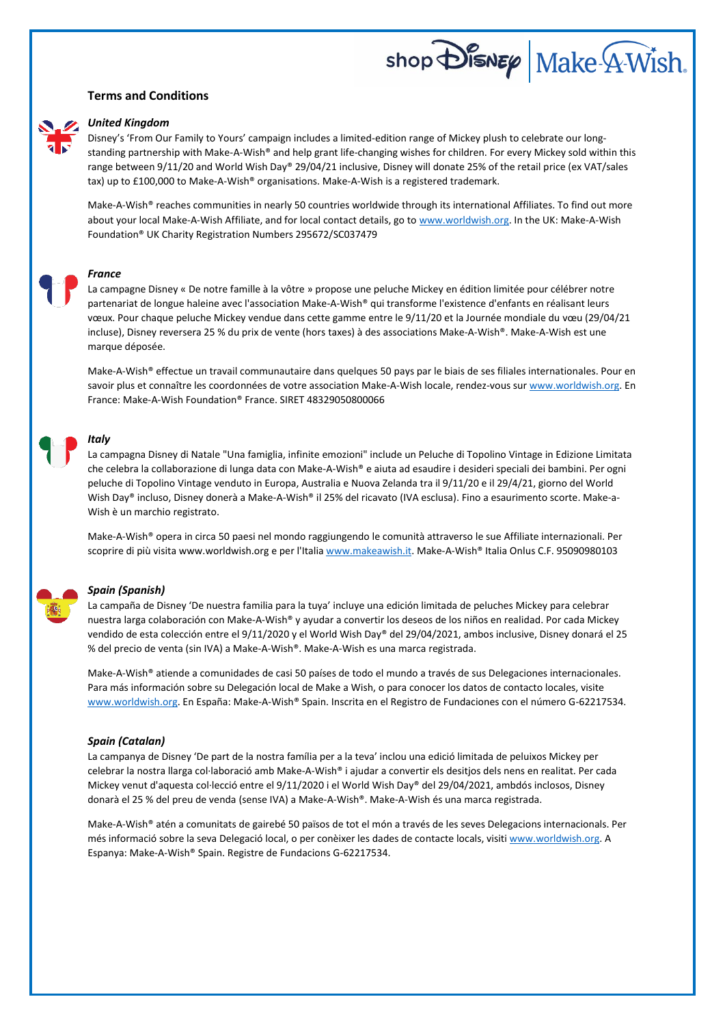## **Terms and Conditions**



#### *United Kingdom*

Disney's 'From Our Family to Yours' campaign includes a limited-edition range of Mickey plush to celebrate our longstanding partnership with Make-A-Wish® and help grant life-changing wishes for children. For every Mickey sold within this range between 9/11/20 and World Wish Day® 29/04/21 inclusive, Disney will donate 25% of the retail price (ex VAT/sales tax) up to £100,000 to Make-A-Wish® organisations. Make-A-Wish is a registered trademark.

 $\mathsf{shop}$   $\mathsf{Dis}$ NEP Make  $\mathsf{AWish}$ .

Make-A-Wish® reaches communities in nearly 50 countries worldwide through its international Affiliates. To find out more about your local Make-A-Wish Affiliate, and for local contact details, go t[o www.worldwish.org.](http://www.worldwish.org/) In the UK: Make-A-Wish Foundation® UK Charity Registration Numbers 295672/SC037479

### *France*

La campagne Disney « De notre famille à la vôtre » propose une peluche Mickey en édition limitée pour célébrer notre partenariat de longue haleine avec l'association Make-A-Wish® qui transforme l'existence d'enfants en réalisant leurs vœux. Pour chaque peluche Mickey vendue dans cette gamme entre le 9/11/20 et la Journée mondiale du vœu (29/04/21 incluse), Disney reversera 25 % du prix de vente (hors taxes) à des associations Make-A-Wish®. Make-A-Wish est une marque déposée.

Make-A-Wish® effectue un travail communautaire dans quelques 50 pays par le biais de ses filiales internationales. Pour en savoir plus et connaître les coordonnées de votre association Make-A-Wish locale, rendez-vous sur [www.worldwish.org.](http://www.worldwish.org/) En France: Make-A-Wish Foundation® France. SIRET 48329050800066

#### *Italy*

La campagna Disney di Natale "Una famiglia, infinite emozioni" include un Peluche di Topolino Vintage in Edizione Limitata che celebra la collaborazione di lunga data con Make-A-Wish® e aiuta ad esaudire i desideri speciali dei bambini. Per ogni peluche di Topolino Vintage venduto in Europa, Australia e Nuova Zelanda tra il 9/11/20 e il 29/4/21, giorno del World Wish Day® incluso, Disney donerà a Make-A-Wish® il 25% del ricavato (IVA esclusa). Fino a esaurimento scorte. Make-a-Wish è un marchio registrato.

Make-A-Wish® opera in circa 50 paesi nel mondo raggiungendo le comunità attraverso le sue Affiliate internazionali. Per scoprire di più visita www.worldwish.org e per l'Italia [www.makeawish.it.](http://www.makeawish.it/) Make-A-Wish® Italia Onlus C.F. 95090980103

#### *Spain (Spanish)*

La campaña de Disney 'De nuestra familia para la tuya' incluye una edición limitada de peluches Mickey para celebrar nuestra larga colaboración con Make-A-Wish® y ayudar a convertir los deseos de los niños en realidad. Por cada Mickey vendido de esta colección entre el 9/11/2020 y el World Wish Day® del 29/04/2021, ambos inclusive, Disney donará el 25 % del precio de venta (sin IVA) a Make-A-Wish®. Make-A-Wish es una marca registrada.

Make-A-Wish® atiende a comunidades de casi 50 países de todo el mundo a través de sus Delegaciones internacionales. Para más información sobre su Delegación local de Make a Wish, o para conocer los datos de contacto locales, visite [www.worldwish.org.](http://www.worldwish.org/) En España: Make-A-Wish® Spain. Inscrita en el Registro de Fundaciones con el número G-62217534.

#### *Spain (Catalan)*

La campanya de Disney 'De part de la nostra família per a la teva' inclou una edició limitada de peluixos Mickey per celebrar la nostra llarga col·laboració amb Make-A-Wish® i ajudar a convertir els desitjos dels nens en realitat. Per cada Mickey venut d'aquesta col·lecció entre el 9/11/2020 i el World Wish Day® del 29/04/2021, ambdós inclosos, Disney donarà el 25 % del preu de venda (sense IVA) a Make-A-Wish®. Make-A-Wish és una marca registrada.

Make-A-Wish® atén a comunitats de gairebé 50 països de tot el món a través de les seves Delegacions internacionals. Per més informació sobre la seva Delegació local, o per conèixer les dades de contacte locals, visit[i www.worldwish.org.](http://www.worldwish.org/) A Espanya: Make-A-Wish® Spain. Registre de Fundacions G-62217534.